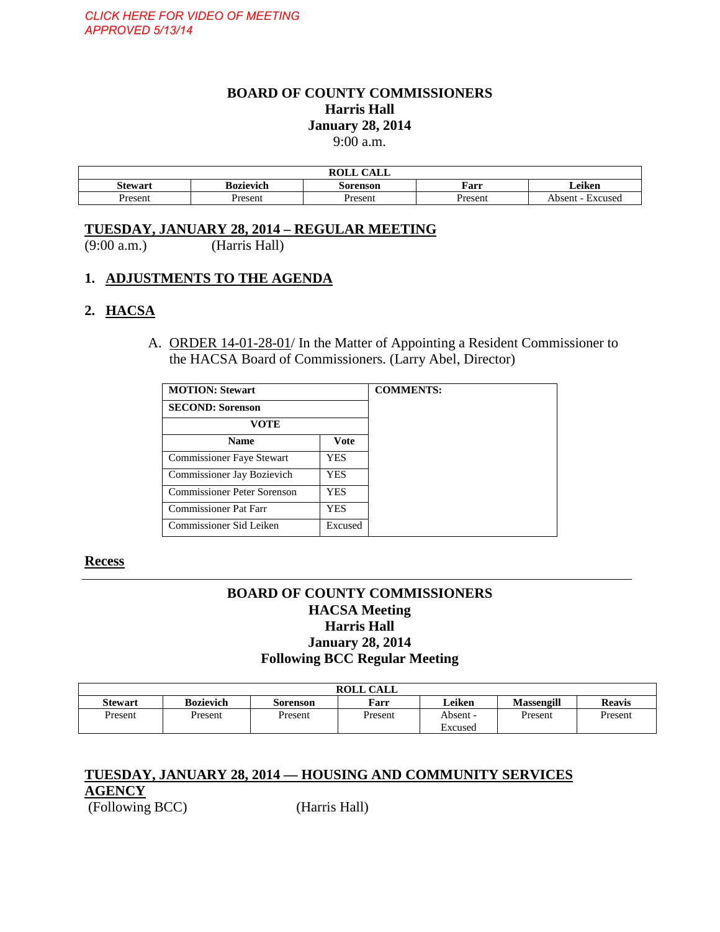# **BOARD OF COUNTY COMMISSIONERS Harris Hall January 28, 2014**

9:00 a.m.

| $\sqrt{1 + T}$<br><b>ROLL</b><br>CALL |                                         |         |         |                               |  |
|---------------------------------------|-----------------------------------------|---------|---------|-------------------------------|--|
| <b>Stewart</b>                        | ∟eiken<br>Bozievich<br>Farr<br>Sorenson |         |         |                               |  |
| Present                               | Present                                 | Present | Present | Excused<br>Absen <sup>t</sup> |  |

#### **TUESDAY, JANUARY 28, 2014 – REGULAR MEETING**

(9:00 a.m.) (Harris Hall)

#### **1. ADJUSTMENTS TO THE AGENDA**

#### **2. HACSA**

A. ORDER 14-01-28-01/ In the Matter of Appointing a Resident Commissioner to the HACSA Board of Commissioners. (Larry Abel, Director)

| <b>MOTION: Stewart</b><br><b>SECOND: Sorenson</b> |            |  |
|---------------------------------------------------|------------|--|
|                                                   |            |  |
| <b>Name</b>                                       | Vote       |  |
| <b>Commissioner Faye Stewart</b>                  | <b>YES</b> |  |
| Commissioner Jay Bozievich                        | YES.       |  |
| Commissioner Peter Sorenson                       | YES.       |  |
| <b>Commissioner Pat Farr</b>                      | <b>YES</b> |  |
| Commissioner Sid Leiken                           | Excused    |  |

#### **Recess**

## **BOARD OF COUNTY COMMISSIONERS HACSA Meeting Harris Hall January 28, 2014 Following BCC Regular Meeting**

|                |                  |          | <b>ROLL CALL</b> |          |            |               |
|----------------|------------------|----------|------------------|----------|------------|---------------|
| <b>Stewart</b> | <b>Bozievich</b> | Sorenson | Farr             | Leiken   | Massengill | <b>Reavis</b> |
| Present        | Present          | Present  | Present          | Absent - | Present    | Present       |
|                |                  |          |                  | Excused  |            |               |

#### **TUESDAY, JANUARY 28, 2014 –– HOUSING AND COMMUNITY SERVICES AGENCY**

(Following BCC) (Harris Hall)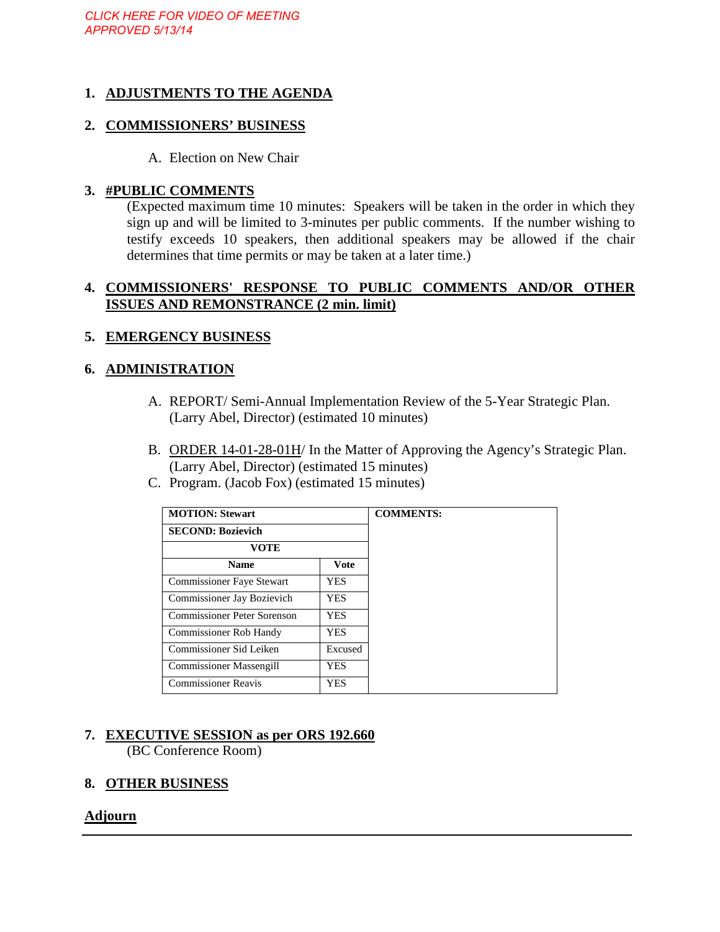## **1. ADJUSTMENTS TO THE AGENDA**

#### **2. COMMISSIONERS' BUSINESS**

A. Election on New Chair

#### **3. #PUBLIC COMMENTS**

(Expected maximum time 10 minutes: Speakers will be taken in the order in which they sign up and will be limited to 3-minutes per public comments. If the number wishing to testify exceeds 10 speakers, then additional speakers may be allowed if the chair determines that time permits or may be taken at a later time.)

#### **4. COMMISSIONERS' RESPONSE TO PUBLIC COMMENTS AND/OR OTHER ISSUES AND REMONSTRANCE (2 min. limit)**

#### **5. EMERGENCY BUSINESS**

#### **6. ADMINISTRATION**

- A. REPORT/ Semi-Annual Implementation Review of the 5-Year Strategic Plan. (Larry Abel, Director) (estimated 10 minutes)
- B. ORDER 14-01-28-01H/ In the Matter of Approving the Agency's Strategic Plan. (Larry Abel, Director) (estimated 15 minutes)
- C. Program. (Jacob Fox) (estimated 15 minutes)

| <b>MOTION: Stewart</b>             |             |  |
|------------------------------------|-------------|--|
| <b>SECOND: Bozievich</b>           |             |  |
| <b>VOTE</b>                        |             |  |
| <b>Name</b>                        | <b>Vote</b> |  |
| <b>Commissioner Faye Stewart</b>   | <b>YES</b>  |  |
| Commissioner Jay Bozievich         | <b>YES</b>  |  |
| <b>Commissioner Peter Sorenson</b> | <b>YES</b>  |  |
| <b>Commissioner Rob Handy</b>      | <b>YES</b>  |  |
| Commissioner Sid Leiken            | Excused     |  |
| <b>Commissioner Massengill</b>     | <b>YES</b>  |  |
| <b>Commissioner Reavis</b>         | YES         |  |

# **7. EXECUTIVE SESSION as per ORS 192.660**

(BC Conference Room)

# **8. OTHER BUSINESS**

#### **Adjourn**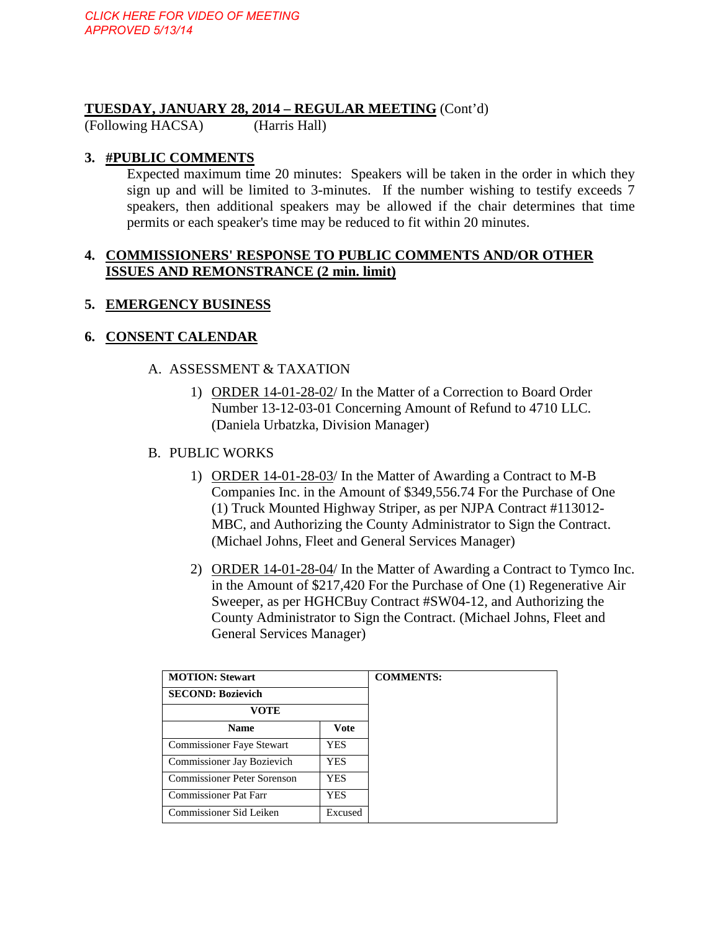# **TUESDAY, JANUARY 28, 2014 – REGULAR MEETING** (Cont'd) (Following HACSA) (Harris Hall)

(Following HACSA)

## **3. #PUBLIC COMMENTS**

Expected maximum time 20 minutes: Speakers will be taken in the order in which they sign up and will be limited to 3-minutes. If the number wishing to testify exceeds 7 speakers, then additional speakers may be allowed if the chair determines that time permits or each speaker's time may be reduced to fit within 20 minutes.

#### **4. COMMISSIONERS' RESPONSE TO PUBLIC COMMENTS AND/OR OTHER ISSUES AND REMONSTRANCE (2 min. limit)**

#### **5. EMERGENCY BUSINESS**

#### **6. CONSENT CALENDAR**

#### A. ASSESSMENT & TAXATION

1) ORDER 14-01-28-02/ In the Matter of a Correction to Board Order Number 13-12-03-01 Concerning Amount of Refund to 4710 LLC. (Daniela Urbatzka, Division Manager)

#### B. PUBLIC WORKS

- 1) ORDER 14-01-28-03/ In the Matter of Awarding a Contract to M-B Companies Inc. in the Amount of \$349,556.74 For the Purchase of One (1) Truck Mounted Highway Striper, as per NJPA Contract #113012- MBC, and Authorizing the County Administrator to Sign the Contract. (Michael Johns, Fleet and General Services Manager)
- 2) ORDER 14-01-28-04/ In the Matter of Awarding a Contract to Tymco Inc. in the Amount of \$217,420 For the Purchase of One (1) Regenerative Air Sweeper, as per HGHCBuy Contract #SW04-12, and Authorizing the County Administrator to Sign the Contract. (Michael Johns, Fleet and General Services Manager)

| <b>MOTION: Stewart</b>       | <b>COMMENTS:</b> |  |
|------------------------------|------------------|--|
| <b>SECOND: Bozievich</b>     |                  |  |
| VOTE                         |                  |  |
| <b>Name</b>                  | Vote             |  |
| Commissioner Faye Stewart    | <b>YES</b>       |  |
| Commissioner Jay Bozievich   | YES              |  |
| Commissioner Peter Sorenson  | <b>YES</b>       |  |
| <b>Commissioner Pat Farr</b> | <b>YES</b>       |  |
| Commissioner Sid Leiken      | Excused          |  |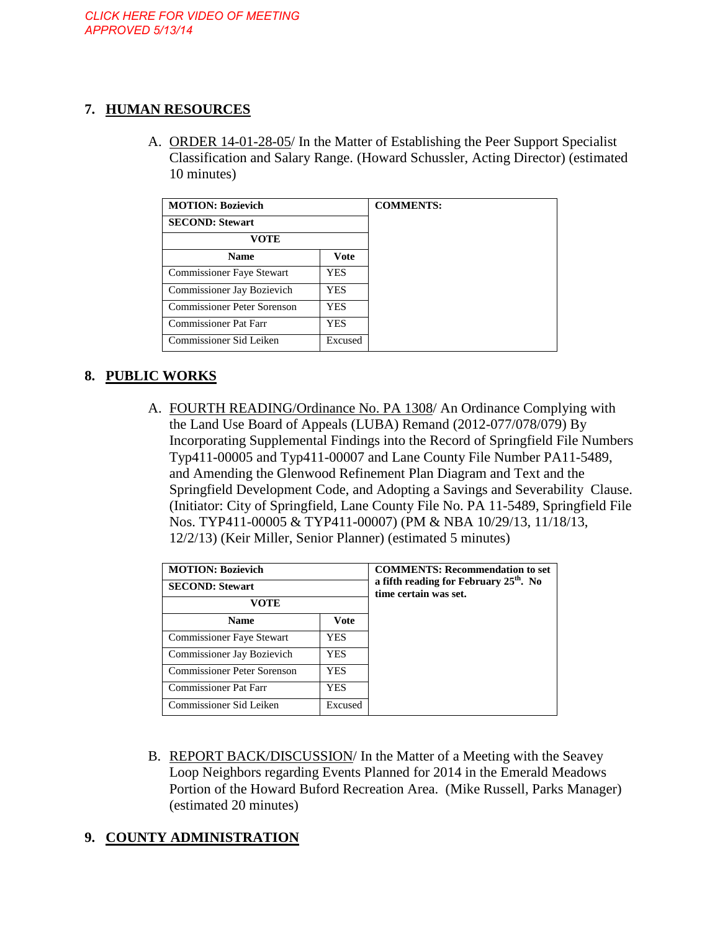# **7. HUMAN RESOURCES**

A. ORDER 14-01-28-05/ In the Matter of Establishing the Peer Support Specialist Classification and Salary Range. (Howard Schussler, Acting Director) (estimated 10 minutes)

| <b>MOTION: Bozievich</b>         |         |  |
|----------------------------------|---------|--|
| <b>SECOND: Stewart</b>           |         |  |
| <b>VOTE</b>                      |         |  |
| <b>Name</b>                      | Vote    |  |
| <b>Commissioner Faye Stewart</b> | YES     |  |
| Commissioner Jay Bozievich       | YES     |  |
| Commissioner Peter Sorenson      | YES     |  |
| <b>Commissioner Pat Farr</b>     | YES.    |  |
| Commissioner Sid Leiken          | Excused |  |

# **8. PUBLIC WORKS**

A. FOURTH READING/Ordinance No. PA 1308/ An Ordinance Complying with the Land Use Board of Appeals (LUBA) Remand (2012-077/078/079) By Incorporating Supplemental Findings into the Record of Springfield File Numbers Typ411-00005 and Typ411-00007 and Lane County File Number PA11-5489, and Amending the Glenwood Refinement Plan Diagram and Text and the Springfield Development Code, and Adopting a Savings and Severability Clause. (Initiator: City of Springfield, Lane County File No. PA 11-5489, Springfield File Nos. TYP411-00005 & TYP411-00007) (PM & NBA 10/29/13, 11/18/13, 12/2/13) (Keir Miller, Senior Planner) (estimated 5 minutes)

| <b>MOTION: Bozievich</b>           | <b>COMMENTS: Recommendation to set</b><br>a fifth reading for February $25th$ . No<br>time certain was set. |  |
|------------------------------------|-------------------------------------------------------------------------------------------------------------|--|
| <b>SECOND: Stewart</b>             |                                                                                                             |  |
| VOTE                               |                                                                                                             |  |
| <b>Name</b>                        | <b>Vote</b>                                                                                                 |  |
| <b>Commissioner Faye Stewart</b>   | <b>YES</b>                                                                                                  |  |
| Commissioner Jay Bozievich         | <b>YES</b>                                                                                                  |  |
| <b>Commissioner Peter Sorenson</b> | YES                                                                                                         |  |
| <b>Commissioner Pat Farr</b>       | YES                                                                                                         |  |
| Commissioner Sid Leiken            | Excused                                                                                                     |  |

B. REPORT BACK/DISCUSSION/ In the Matter of a Meeting with the Seavey Loop Neighbors regarding Events Planned for 2014 in the Emerald Meadows Portion of the Howard Buford Recreation Area. (Mike Russell, Parks Manager) (estimated 20 minutes)

# **9. COUNTY ADMINISTRATION**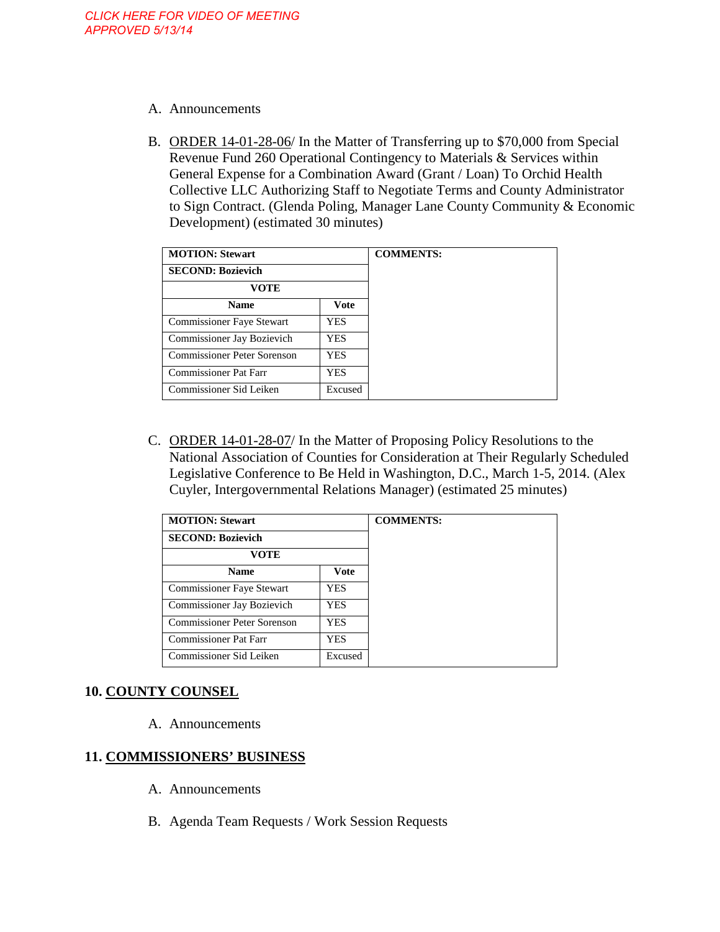- A. Announcements
- B. ORDER 14-01-28-06/ In the Matter of Transferring up to \$70,000 from Special Revenue Fund 260 Operational Contingency to Materials & Services within General Expense for a Combination Award (Grant / Loan) To Orchid Health Collective LLC Authorizing Staff to Negotiate Terms and County Administrator to Sign Contract. (Glenda Poling, Manager Lane County Community & Economic Development) (estimated 30 minutes)

| <b>MOTION: Stewart</b>           |            |  |
|----------------------------------|------------|--|
| <b>SECOND: Bozievich</b>         |            |  |
| VOTE                             |            |  |
| <b>Name</b>                      | Vote       |  |
| <b>Commissioner Faye Stewart</b> | <b>YES</b> |  |
| Commissioner Jay Bozievich       | <b>YES</b> |  |
| Commissioner Peter Sorenson      | <b>YES</b> |  |
| Commissioner Pat Farr            | YES        |  |
| Commissioner Sid Leiken          | Excused    |  |

C. ORDER 14-01-28-07/ In the Matter of Proposing Policy Resolutions to the National Association of Counties for Consideration at Their Regularly Scheduled Legislative Conference to Be Held in Washington, D.C., March 1-5, 2014. (Alex Cuyler, Intergovernmental Relations Manager) (estimated 25 minutes)

| <b>MOTION: Stewart</b>       | <b>COMMENTS:</b> |  |
|------------------------------|------------------|--|
| <b>SECOND: Bozievich</b>     |                  |  |
| VOTE                         |                  |  |
| <b>Name</b>                  | <b>Vote</b>      |  |
| Commissioner Faye Stewart    | YES              |  |
| Commissioner Jay Bozievich   | YES              |  |
| Commissioner Peter Sorenson  | YES              |  |
| <b>Commissioner Pat Farr</b> | YES.             |  |
| Commissioner Sid Leiken      | Excused          |  |

# **10. COUNTY COUNSEL**

A. Announcements

#### **11. COMMISSIONERS' BUSINESS**

- A. Announcements
- B. Agenda Team Requests / Work Session Requests